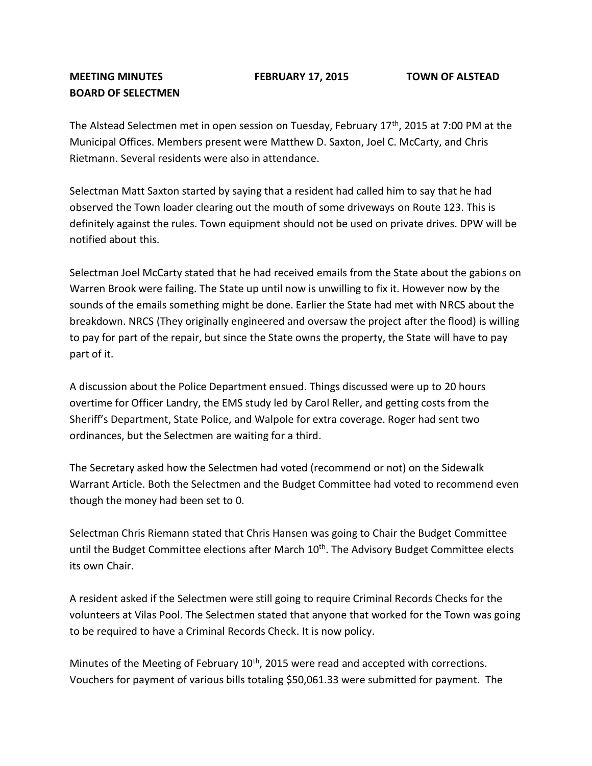## **BOARD OF SELECTMEN**

The Alstead Selectmen met in open session on Tuesday, February 17<sup>th</sup>, 2015 at 7:00 PM at the Municipal Offices. Members present were Matthew D. Saxton, Joel C. McCarty, and Chris Rietmann. Several residents were also in attendance.

Selectman Matt Saxton started by saying that a resident had called him to say that he had observed the Town loader clearing out the mouth of some driveways on Route 123. This is definitely against the rules. Town equipment should not be used on private drives. DPW will be notified about this.

Selectman Joel McCarty stated that he had received emails from the State about the gabions on Warren Brook were failing. The State up until now is unwilling to fix it. However now by the sounds of the emails something might be done. Earlier the State had met with NRCS about the breakdown. NRCS (They originally engineered and oversaw the project after the flood) is willing to pay for part of the repair, but since the State owns the property, the State will have to pay part of it.

A discussion about the Police Department ensued. Things discussed were up to 20 hours overtime for Officer Landry, the EMS study led by Carol Reller, and getting costs from the Sheriff's Department, State Police, and Walpole for extra coverage. Roger had sent two ordinances, but the Selectmen are waiting for a third.

The Secretary asked how the Selectmen had voted (recommend or not) on the Sidewalk Warrant Article. Both the Selectmen and the Budget Committee had voted to recommend even though the money had been set to 0.

Selectman Chris Riemann stated that Chris Hansen was going to Chair the Budget Committee until the Budget Committee elections after March 10<sup>th</sup>. The Advisory Budget Committee elects its own Chair.

A resident asked if the Selectmen were still going to require Criminal Records Checks for the volunteers at Vilas Pool. The Selectmen stated that anyone that worked for the Town was going to be required to have a Criminal Records Check. It is now policy.

Minutes of the Meeting of February  $10<sup>th</sup>$ , 2015 were read and accepted with corrections. Vouchers for payment of various bills totaling \$50,061.33 were submitted for payment. The